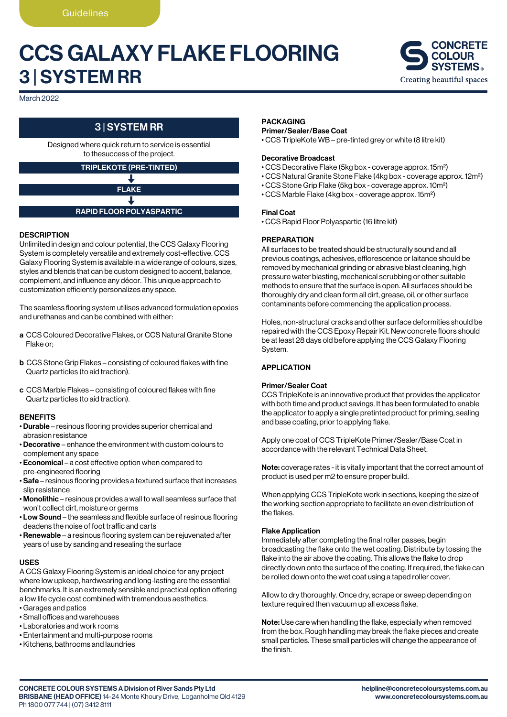# CCS GALAXY FLAKE FLOORING 3 | SYSTEM RR



March 2022

### 3 | SYSTEM RR

Designed where quick return to service is essential to thesuccess of the project.

#### TRIPLEKOTE (PRE-TINTED) J

FLAKE

### RAPID FLOOR POLYASPARTIC

#### **DESCRIPTION**

Unlimited in design and colour potential, the CCS Galaxy Flooring System is completely versatile and extremely cost-effective. CCS Galaxy Flooring System is available in a wide range of colours, sizes, styles and blends that can be custom designed to accent, balance, complement, and influence any décor. This unique approach to customization efficiently personalizes any space.

The seamless flooring system utilises advanced formulation epoxies and urethanes and can be combined with either:

- a CCS Coloured Decorative Flakes, or CCS Natural Granite Stone Flake or;
- b CCS Stone Grip Flakes consisting of coloured flakes with fine Quartz particles (to aid traction).
- c CCS Marble Flakes consisting of coloured flakes with fine Quartz particles (to aid traction).

#### **BENEFITS**

- Durable resinous flooring provides superior chemical and abrasion resistance
- Decorative enhance the environment with custom colours to complement any space
- Economical a cost effective option when compared to pre-engineered flooring
- Safe resinous flooring provides a textured surface that increases slip resistance
- Monolithic resinous provides a wall to wall seamless surface that won't collect dirt, moisture or germs
- Low Sound the seamless and flexible surface of resinous flooring deadens the noise of foot traffic and carts
- Renewable a resinous flooring system can be rejuvenated after years of use by sanding and resealing the surface

#### USES

A CCS Galaxy Flooring System is an ideal choice for any project where low upkeep, hardwearing and long-lasting are the essential benchmarks. It is an extremely sensible and practical option offering a low life cycle cost combined with tremendous aesthetics.

- Garages and patios
- Small offices and warehouses
- Laboratories and work rooms
- Entertainment and multi-purpose rooms
- Kitchens, bathrooms and laundries

#### PACKAGING

#### Primer/Sealer/Base Coat

• CCS TripleKote WB – pre-tinted grey or white (8 litre kit)

#### Decorative Broadcast

- CCS Decorative Flake (5kg box coverage approx. 15m2)
- CCS Natural Granite Stone Flake (4kg box coverage approx. 12m2)
- CCS Stone Grip Flake (5kg box coverage approx. 10m2)
- CCS Marble Flake (4kg box coverage approx. 15m2)

#### Final Coat

• CCS Rapid Floor Polyaspartic (16 litre kit)

#### **PREPARATION**

All surfaces to be treated should be structurally sound and all previous coatings, adhesives, efflorescence or laitance should be removed by mechanical grinding or abrasive blast cleaning, high pressure water blasting, mechanical scrubbing or other suitable methods to ensure that the surface is open. All surfaces should be thoroughly dry and clean form all dirt, grease, oil, or other surface contaminants before commencing the application process.

Holes, non-structural cracks and other surface deformities should be repaired with the CCS Epoxy Repair Kit. New concrete floors should be at least 28 days old before applying the CCS Galaxy Flooring System.

#### **APPLICATION**

#### Primer/Sealer Coat

CCS TripleKote is an innovative product that provides the applicator with both time and product savings. It has been formulated to enable the applicator to apply a single pretinted product for priming, sealing and base coating, prior to applying flake.

Apply one coat of CCS TripleKote Primer/Sealer/Base Coat in accordance with the relevant Technical Data Sheet.

Note: coverage rates - it is vitally important that the correct amount of product is used per m2 to ensure proper build.

When applying CCS TripleKote work in sections, keeping the size of the working section appropriate to facilitate an even distribution of the flakes.

#### Flake Application

Immediately after completing the final roller passes, begin broadcasting the flake onto the wet coating. Distribute by tossing the flake into the air above the coating. This allows the flake to drop directly down onto the surface of the coating. If required, the flake can be rolled down onto the wet coat using a taped roller cover.

Allow to dry thoroughly. Once dry, scrape or sweep depending on texture required then vacuum up all excess flake.

Note: Use care when handling the flake, especially when removed from the box. Rough handling may break the flake pieces and create small particles. These small particles will change the appearance of the finish.